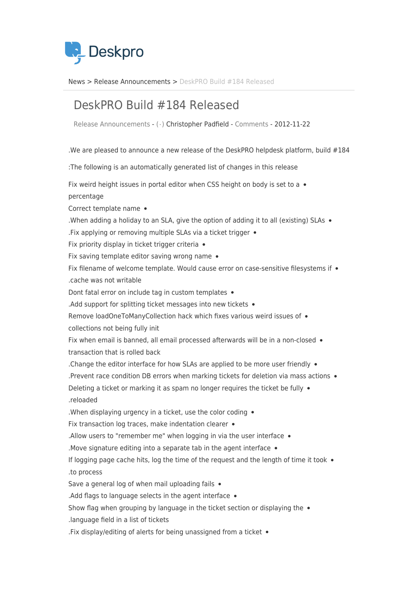

News> Release Announcements > DeskPRO Build #184 Released

## DeskPRO Build #184 Released

Release Announcements - ( · ) Christopher Padfield - [Comments](#page--1-0) - 2012-11-22

.We are pleased to announce a new release of the DeskPRO helpdesk platform, build  $#184$ 

: The following is an automatically generated list of changes in this release

Fix weird height issues in portal editor when CSS height on body is set to a  $\bullet$ 

percentage

Correct template name •

When adding a holiday to an SLA, give the option of adding it to all (existing) SLAs  $\bullet$ 

. Fix applying or removing multiple SLAs via a ticket trigger  $\bullet$ 

Fix priority display in ticket trigger criteria  $\bullet$ 

Fix saving template editor saving wrong name  $\bullet$ 

Fix filename of welcome template. Would cause error on case-sensitive filesystems if • cache was not writable.

Dont fatal error on include tag in custom templates .

. Add support for splitting ticket messages into new tickets  $\bullet$ 

Remove loadOneToManyCollection hack which fixes various weird issues of • collections not being fully init

Fix when email is banned, all email processed afterwards will be in a non-closed • transaction that is rolled back

. Change the editor interface for how SLAs are applied to be more user friendly  $\bullet$ 

. Prevent race condition DB errors when marking tickets for deletion via mass actions  $\bullet$ 

Deleting a ticket or marking it as spam no longer requires the ticket be fully  $\bullet$ reloaded.

. When displaying urgency in a ticket, use the color coding  $\bullet$ 

Fix transaction log traces, make indentation clearer  $\bullet$ 

. Allow users to "remember me" when logging in via the user interface  $\bullet$ 

. Move signature editing into a separate tab in the agent interface  $\bullet$ 

If logging page cache hits, log the time of the request and the length of time it took  $\bullet$ to process.

Save a general log of when mail uploading fails  $\bullet$ 

. Add flags to language selects in the agent interface  $\bullet$ 

Show flag when grouping by language in the ticket section or displaying the  $\bullet$ 

language field in a list of tickets.

. Fix display/editing of alerts for being unassigned from a ticket  $\bullet$